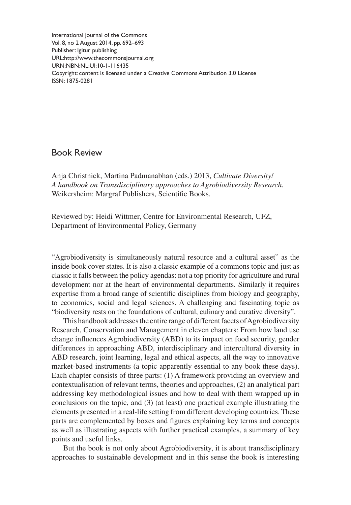International Journal of the Commons Vol. 8, no 2 August 2014, pp. 692–693 Publisher: Igitur publishing URL[:http://www.thecommonsjournal.org](http://www.thecommonsjournal.org) URN:NBN:NL:UI:10-1-116435 Copyright: content is licensed under a Creative Commons Attribution 3.0 License ISSN: 1875-0281

## Book Review

Anja Christnick, Martina Padmanabhan (eds.) 2013, *Cultivate Diversity! A handbook on Transdisciplinary approaches to Agrobiodiversity Research.* Weikersheim: Margraf Publishers, Scientific Books.

Reviewed by: Heidi Wittmer, Centre for Environmental Research, UFZ, Department of Environmental Policy, Germany

"Agrobiodiversity is simultaneously natural resource and a cultural asset" as the inside book cover states. It is also a classic example of a commons topic and just as classic it falls between the policy agendas: not a top priority for agriculture and rural development nor at the heart of environmental departments. Similarly it requires expertise from a broad range of scientific disciplines from biology and geography, to economics, social and legal sciences. A challenging and fascinating topic as "biodiversity rests on the foundations of cultural, culinary and curative diversity".

This handbook addresses the entire range of different facets of Agrobiodiversity Research, Conservation and Management in eleven chapters: From how land use change influences Agrobiodiversity (ABD) to its impact on food security, gender differences in approaching ABD, interdisciplinary and intercultural diversity in ABD research, joint learning, legal and ethical aspects, all the way to innovative market-based instruments (a topic apparently essential to any book these days). Each chapter consists of three parts: (1) A framework providing an overview and contextualisation of relevant terms, theories and approaches, (2) an analytical part addressing key methodological issues and how to deal with them wrapped up in conclusions on the topic, and (3) (at least) one practical example illustrating the elements presented in a real-life setting from different developing countries. These parts are complemented by boxes and figures explaining key terms and concepts as well as illustrating aspects with further practical examples, a summary of key points and useful links.

But the book is not only about Agrobiodiversity, it is about transdisciplinary approaches to sustainable development and in this sense the book is interesting